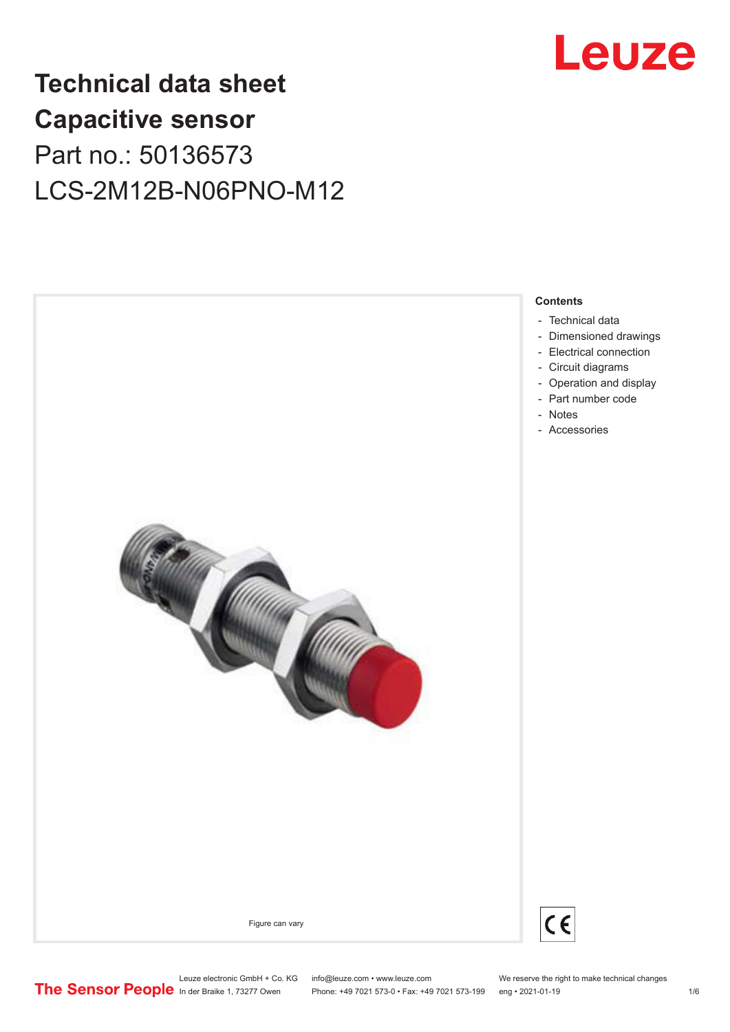

## **Technical data sheet Capacitive sensor** Part no.: 50136573 LCS-2M12B-N06PNO-M12





Leuze electronic GmbH + Co. KG info@leuze.com • www.leuze.com We reserve the right to make technical changes<br>
The Sensor People in der Braike 1, 73277 Owen Phone: +49 7021 573-0 • Fax: +49 7021 573-199 eng • 2021-01-19

Phone: +49 7021 573-0 • Fax: +49 7021 573-199 eng • 2021-01-19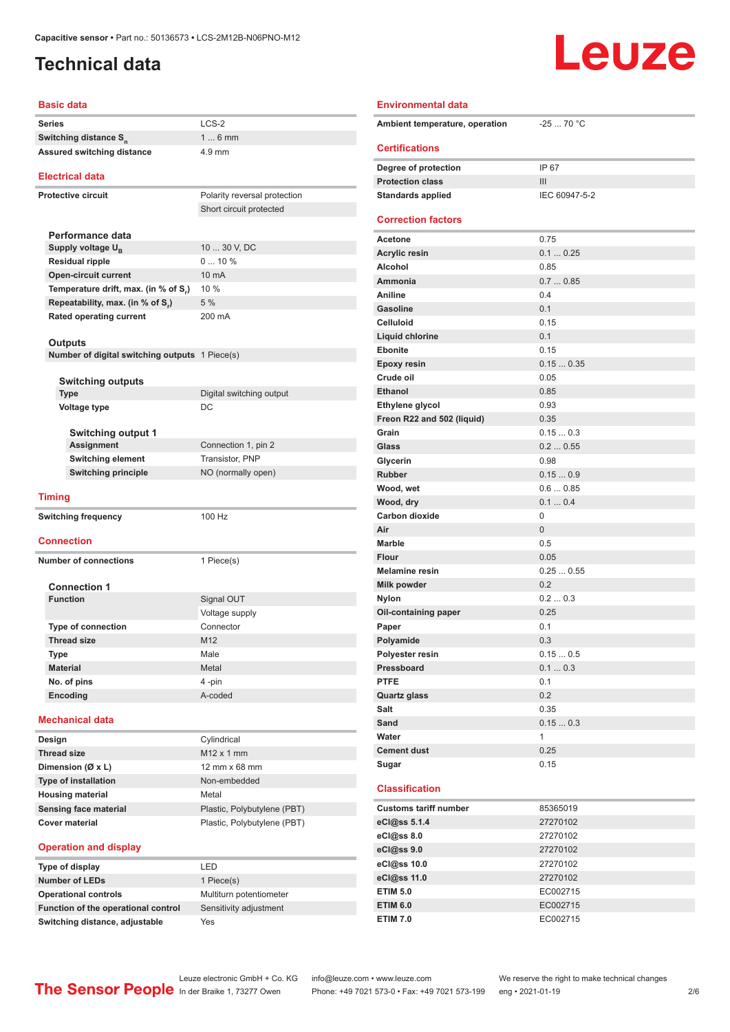#### <span id="page-1-0"></span>**Technical data**

# **Leuze**

| <b>Basic data</b>                              |                              |  |
|------------------------------------------------|------------------------------|--|
| <b>Series</b>                                  | $LCS-2$                      |  |
| Switching distance S <sub>n</sub>              | $16$ mm                      |  |
| Assured switching distance                     | 4.9 mm                       |  |
|                                                |                              |  |
| <b>Electrical data</b>                         |                              |  |
| <b>Protective circuit</b>                      | Polarity reversal protection |  |
|                                                | Short circuit protected      |  |
|                                                |                              |  |
| Performance data                               |                              |  |
| Supply voltage $U_{B}$                         | 10  30 V, DC                 |  |
| <b>Residual ripple</b>                         | 010%<br>10 mA                |  |
| <b>Open-circuit current</b>                    | 10 %                         |  |
| Temperature drift, max. (in % of S.)           | 5%                           |  |
| Repeatability, max. (in % of S.)               | 200 mA                       |  |
| <b>Rated operating current</b>                 |                              |  |
| Outputs                                        |                              |  |
| Number of digital switching outputs 1 Piece(s) |                              |  |
|                                                |                              |  |
| <b>Switching outputs</b>                       |                              |  |
| Type                                           | Digital switching output     |  |
| Voltage type                                   | DC                           |  |
|                                                |                              |  |
| <b>Switching output 1</b>                      |                              |  |
| <b>Assignment</b>                              | Connection 1, pin 2          |  |
| <b>Switching element</b>                       | Transistor, PNP              |  |
| <b>Switching principle</b>                     | NO (normally open)           |  |
| <b>Timing</b>                                  |                              |  |
|                                                |                              |  |
| <b>Switching frequency</b>                     | 100 Hz                       |  |
| <b>Connection</b>                              |                              |  |
|                                                |                              |  |
| <b>Number of connections</b>                   | 1 Piece(s)                   |  |
| <b>Connection 1</b>                            |                              |  |
| <b>Function</b>                                | Signal OUT                   |  |
|                                                | Voltage supply               |  |
| <b>Type of connection</b>                      | Connector                    |  |
| <b>Thread size</b>                             | M12                          |  |
| Type                                           | Male                         |  |
| <b>Material</b>                                | Metal                        |  |
| No. of pins                                    | 4-pin                        |  |
| Encoding                                       | A-coded                      |  |
|                                                |                              |  |
| <b>Mechanical data</b>                         |                              |  |
| Design                                         | Cylindrical                  |  |
| <b>Thread size</b>                             | M12 x 1 mm                   |  |
| Dimension (Ø x L)                              | 12 mm x 68 mm                |  |
| <b>Type of installation</b>                    | Non-embedded                 |  |
| <b>Housing material</b>                        | Metal                        |  |
| <b>Sensing face material</b>                   | Plastic, Polybutylene (PBT)  |  |
| <b>Cover material</b>                          | Plastic, Polybutylene (PBT)  |  |
|                                                |                              |  |

#### **Operation and display**

| Type of display                     | FD                      |
|-------------------------------------|-------------------------|
| <b>Number of LEDs</b>               | 1 Piece(s)              |
| <b>Operational controls</b>         | Multiturn potentiometer |
| Function of the operational control | Sensitivity adjustment  |
| Switching distance, adjustable      | Yes                     |

| <b>Environmental data</b>      |                |
|--------------------------------|----------------|
| Ambient temperature, operation | $-2570 °C$     |
| <b>Certifications</b>          |                |
| Degree of protection           | IP 67          |
| <b>Protection class</b>        | III            |
| <b>Standards applied</b>       | IEC 60947-5-2  |
| <b>Correction factors</b>      |                |
| <b>Acetone</b>                 | 0.75           |
| <b>Acrylic resin</b>           | 0.10.25        |
| Alcohol                        | 0.85           |
| Ammonia                        | 0.70.85        |
| Aniline                        | 0.4            |
| Gasoline                       | 0.1            |
| <b>Celluloid</b>               | 0.15           |
| <b>Liquid chlorine</b>         | 0.1            |
| <b>Ebonite</b>                 | 0.15           |
| <b>Epoxy resin</b>             | 0.150.35       |
| Crude oil                      | 0.05           |
| <b>Ethanol</b>                 | 0.85           |
| Ethylene glycol                | 0.93           |
| Freon R22 and 502 (liquid)     | 0.35           |
| Grain                          | 0.150.3        |
| Glass                          | 0.20.55        |
| Glycerin                       | 0.98           |
| <b>Rubber</b>                  | 0.150.9        |
| Wood, wet                      | 0.60.85        |
| Wood, dry                      | 0.10.4         |
| Carbon dioxide                 | 0              |
| Air                            | $\overline{0}$ |
| <b>Marble</b>                  | 0.5            |
| <b>Flour</b>                   | 0.05           |
| <b>Melamine resin</b>          | 0.250.55       |
| Milk powder                    | 0.2            |
| <b>Nylon</b>                   | 0.20.3         |
| Oil-containing paper           | 0.25           |
| Paper                          | 0.1            |
| Polyamide                      | 0.3            |
| Polyester resin                | 0.150.5        |
| Pressboard                     | 0.10.3         |
| <b>PTFE</b>                    | 0.1            |
| Quartz glass                   | 0.2            |
| Salt                           | 0.35           |
| Sand                           | 0.150.3        |
| Water                          | 1              |
| <b>Cement dust</b>             | 0.25           |
| Sugar                          | 0.15           |
| <b>Classification</b>          |                |
| <b>Customs tariff number</b>   | 85365019       |
|                                |                |
| eCl@ss 5.1.4                   | 27270102       |
| eCl@ss 8.0                     | 27270102       |
| eCl@ss 9.0                     | 27270102       |
| eCl@ss 10.0                    | 27270102       |
| eCl@ss 11.0                    | 27270102       |
| <b>ETIM 5.0</b>                | EC002715       |
| <b>ETIM 6.0</b>                | EC002715       |

Leuze electronic GmbH + Co. KG info@leuze.com • www.leuze.com We reserve the right to make technical changes<br>
The Sensor People in der Braike 1, 73277 Owen Phone: +49 7021 573-0 • Fax: +49 7021 573-199 eng • 2021-01-19

Phone: +49 7021 573-0 • Fax: +49 7021 573-199 eng • 2021-01-19

**ETIM 7.0** EC002715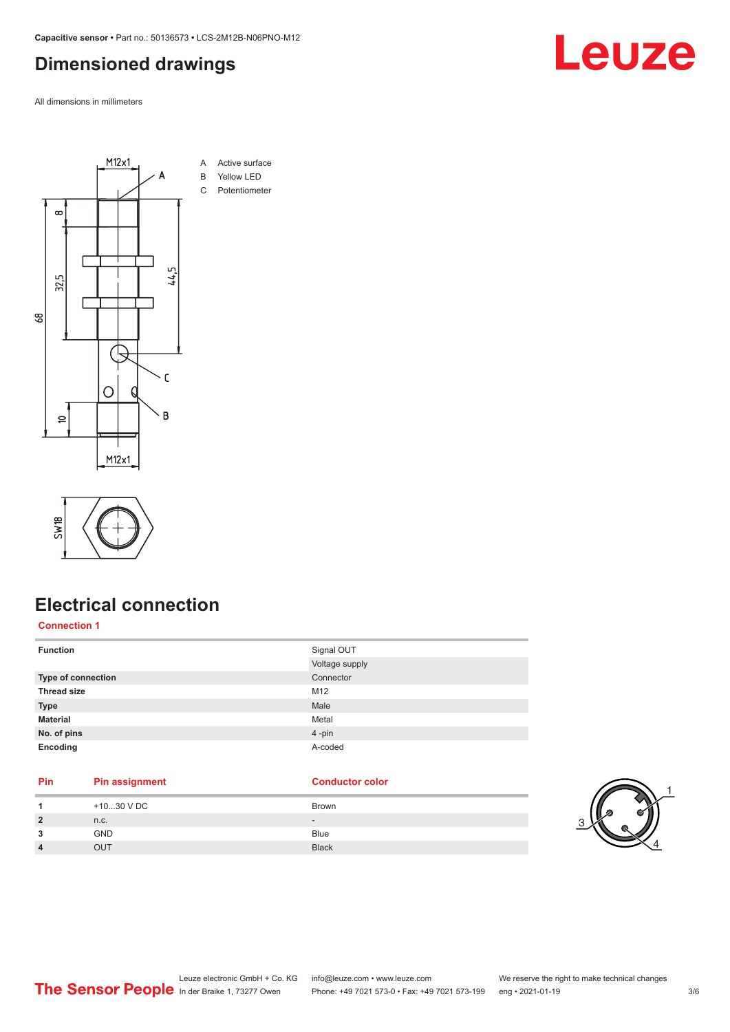#### <span id="page-2-0"></span>**Dimensioned drawings**

All dimensions in millimeters





#### **Electrical connection**

**Connection 1**

| <b>Function</b>    | Signal OUT     |
|--------------------|----------------|
|                    | Voltage supply |
| Type of connection | Connector      |
| <b>Thread size</b> | M12            |
| <b>Type</b>        | Male           |
| <b>Material</b>    | Metal          |
| No. of pins        | 4-pin          |
| Encoding           | A-coded        |

| <b>Pin</b> | <b>Pin assignment</b> | <b>Conductor color</b> |
|------------|-----------------------|------------------------|
|            | $+1030$ V DC          | <b>Brown</b>           |
|            | n.c.                  |                        |
|            | <b>GND</b>            | <b>Blue</b>            |
| 4          | <b>OUT</b>            | <b>Black</b>           |
|            |                       |                        |



Leuze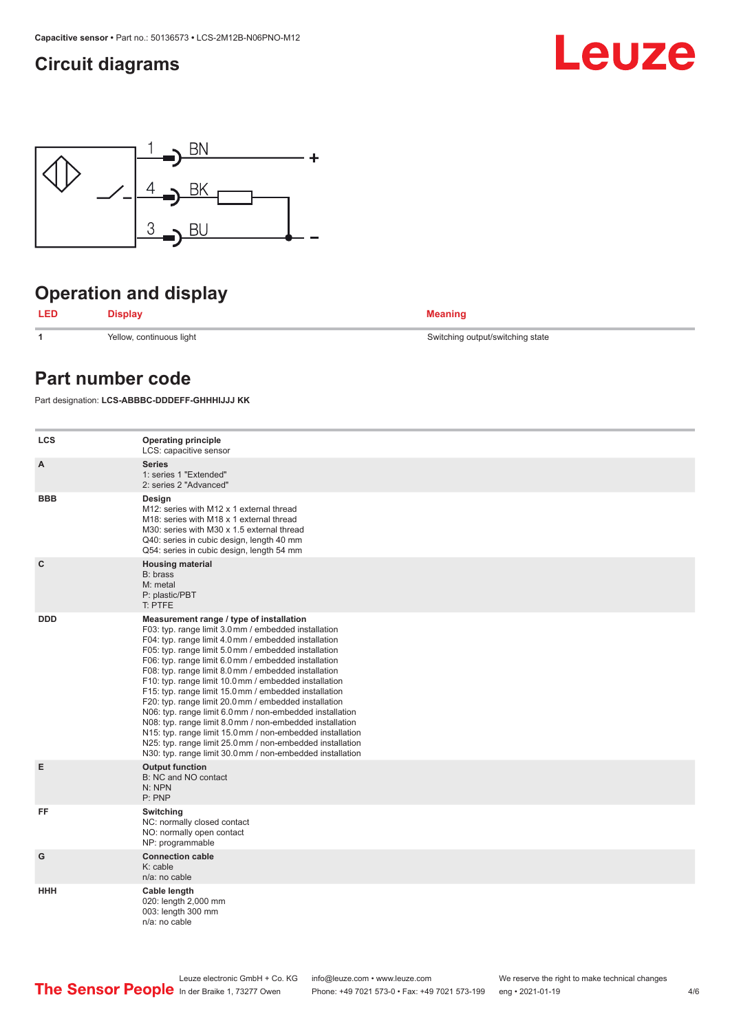#### <span id="page-3-0"></span>**Circuit diagrams**





### **Operation and display**



**1** Yellow, continuous light Switching output/switching state

#### **Part number code**

Part designation: **LCS-ABBBC-DDDEFF-GHHHIJJJ KK**

| <b>LCS</b>   | <b>Operating principle</b><br>LCS: capacitive sensor                                                                                                                                                                                                                                                                                                                                                                                                                                                                                                                                                                                                                                                                                                                                                                       |
|--------------|----------------------------------------------------------------------------------------------------------------------------------------------------------------------------------------------------------------------------------------------------------------------------------------------------------------------------------------------------------------------------------------------------------------------------------------------------------------------------------------------------------------------------------------------------------------------------------------------------------------------------------------------------------------------------------------------------------------------------------------------------------------------------------------------------------------------------|
| A            | <b>Series</b><br>1: series 1 "Extended"<br>2: series 2 "Advanced"                                                                                                                                                                                                                                                                                                                                                                                                                                                                                                                                                                                                                                                                                                                                                          |
| <b>BBB</b>   | Design<br>M12: series with M12 x 1 external thread<br>M18: series with M18 x 1 external thread<br>M30: series with M30 x 1.5 external thread<br>Q40: series in cubic design, length 40 mm<br>Q54: series in cubic design, length 54 mm                                                                                                                                                                                                                                                                                                                                                                                                                                                                                                                                                                                     |
| $\mathbf{C}$ | <b>Housing material</b><br>B: brass<br>M: metal<br>P: plastic/PBT<br>T: PTFE                                                                                                                                                                                                                                                                                                                                                                                                                                                                                                                                                                                                                                                                                                                                               |
| <b>DDD</b>   | Measurement range / type of installation<br>F03: typ. range limit 3.0 mm / embedded installation<br>F04: typ. range limit 4.0 mm / embedded installation<br>F05: typ. range limit 5.0 mm / embedded installation<br>F06: typ. range limit 6.0 mm / embedded installation<br>F08: typ. range limit 8.0 mm / embedded installation<br>F10: typ. range limit 10.0 mm / embedded installation<br>F15: typ. range limit 15.0 mm / embedded installation<br>F20: typ. range limit 20.0 mm / embedded installation<br>N06: typ. range limit 6.0 mm / non-embedded installation<br>N08: typ. range limit 8.0 mm / non-embedded installation<br>N15: typ. range limit 15.0 mm / non-embedded installation<br>N25: typ. range limit 25.0 mm / non-embedded installation<br>N30: typ. range limit 30.0 mm / non-embedded installation |
| E            | <b>Output function</b><br>B: NC and NO contact<br>N: NPN<br>P: PNP                                                                                                                                                                                                                                                                                                                                                                                                                                                                                                                                                                                                                                                                                                                                                         |
| FF           | Switching<br>NC: normally closed contact<br>NO: normally open contact<br>NP: programmable                                                                                                                                                                                                                                                                                                                                                                                                                                                                                                                                                                                                                                                                                                                                  |
| G            | <b>Connection cable</b><br>K: cable<br>n/a: no cable                                                                                                                                                                                                                                                                                                                                                                                                                                                                                                                                                                                                                                                                                                                                                                       |
| <b>HHH</b>   | Cable length<br>020: length 2,000 mm<br>003: length 300 mm<br>$n/a$ : no cable                                                                                                                                                                                                                                                                                                                                                                                                                                                                                                                                                                                                                                                                                                                                             |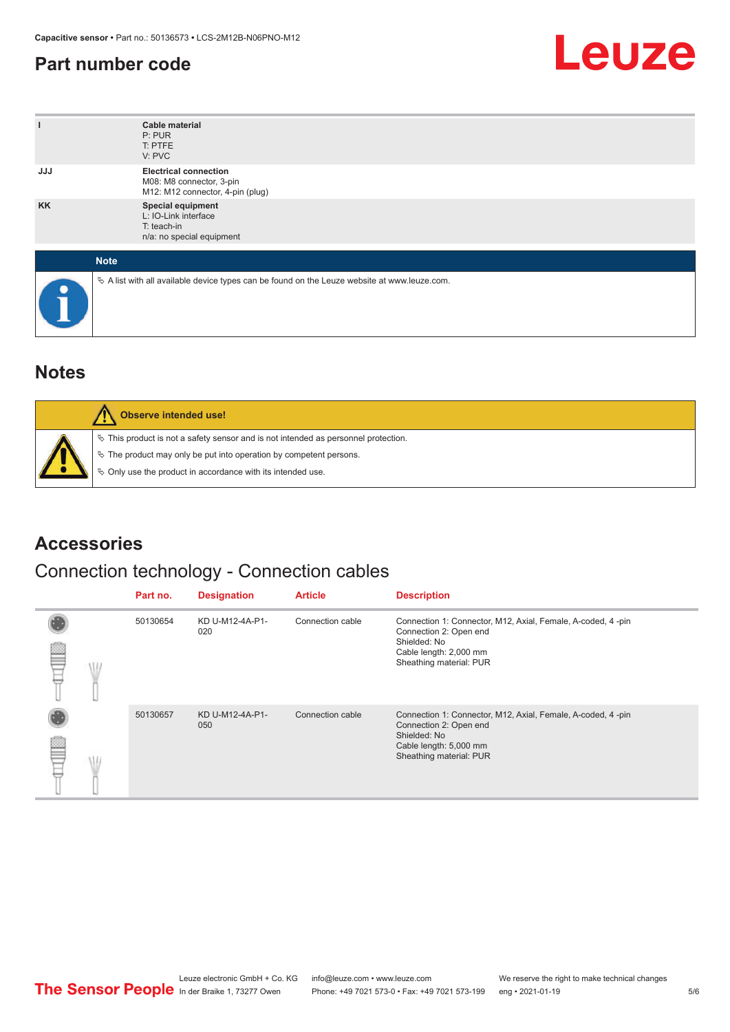#### <span id="page-4-0"></span>**Part number code**



| ı           | <b>Cable material</b><br>P: PUR<br>T: PTFE<br>V: PVC                                            |
|-------------|-------------------------------------------------------------------------------------------------|
| <b>JJJ</b>  | <b>Electrical connection</b><br>M08: M8 connector, 3-pin<br>M12: M12 connector, 4-pin (plug)    |
| <b>KK</b>   | Special equipment<br>L: IO-Link interface<br>T: teach-in<br>n/a: no special equipment           |
| <b>Note</b> |                                                                                                 |
| $\bullet$   | $\&$ A list with all available device types can be found on the Leuze website at www.leuze.com. |

#### **Notes**

| Observe intended use!                                                                                                                                                                                                         |
|-------------------------------------------------------------------------------------------------------------------------------------------------------------------------------------------------------------------------------|
| $\%$ This product is not a safety sensor and is not intended as personnel protection.<br>$\%$ The product may only be put into operation by competent persons.<br>♦ Only use the product in accordance with its intended use. |

#### **Accessories**

#### Connection technology - Connection cables

|  | Part no. | <b>Designation</b>     | <b>Article</b>   | <b>Description</b>                                                                                                                                         |
|--|----------|------------------------|------------------|------------------------------------------------------------------------------------------------------------------------------------------------------------|
|  | 50130654 | KD U-M12-4A-P1-<br>020 | Connection cable | Connection 1: Connector, M12, Axial, Female, A-coded, 4-pin<br>Connection 2: Open end<br>Shielded: No<br>Cable length: 2,000 mm<br>Sheathing material: PUR |
|  | 50130657 | KD U-M12-4A-P1-<br>050 | Connection cable | Connection 1: Connector, M12, Axial, Female, A-coded, 4-pin<br>Connection 2: Open end<br>Shielded: No<br>Cable length: 5,000 mm<br>Sheathing material: PUR |